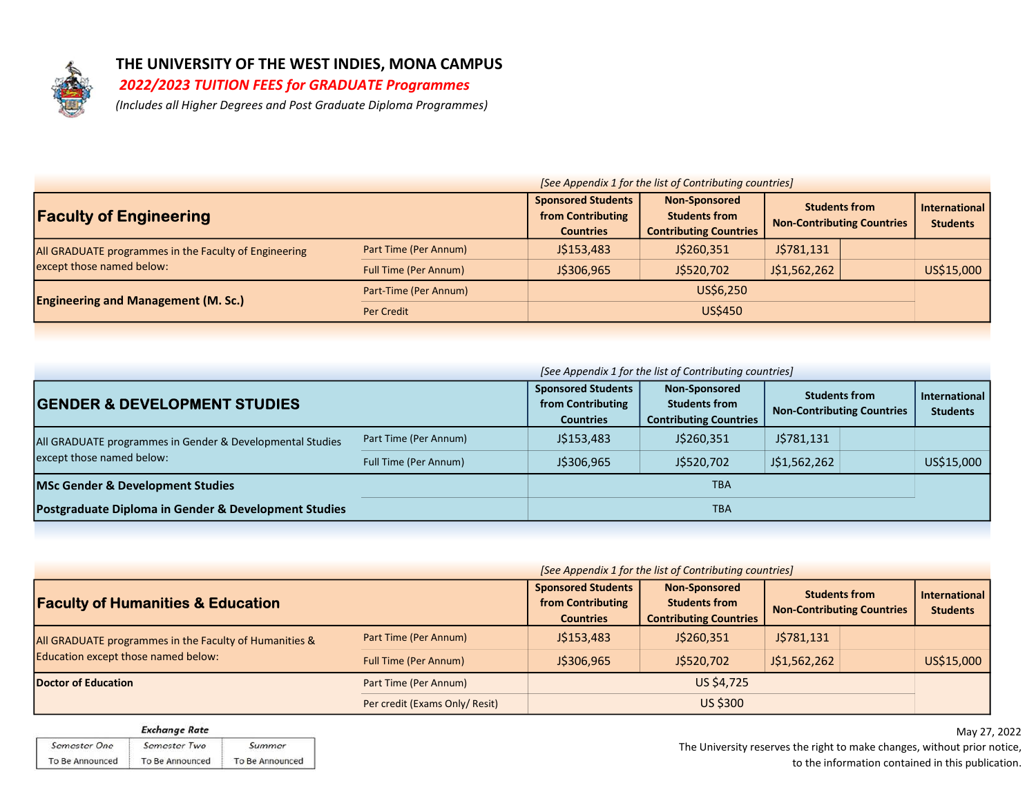

# THE UNIVERSITY OF THE WEST INDIES, MONA CAMPUS

## 2022/2023 TUITION FEES for GRADUATE Programmes

(Includes all Higher Degrees and Post Graduate Diploma Programmes)

|                                                       | [See Appendix 1 for the list of Contributing countries] |                                                                    |                                                                               |                                                           |  |                                  |  |
|-------------------------------------------------------|---------------------------------------------------------|--------------------------------------------------------------------|-------------------------------------------------------------------------------|-----------------------------------------------------------|--|----------------------------------|--|
| <b>Faculty of Engineering</b>                         |                                                         | <b>Sponsored Students</b><br>from Contributing<br><b>Countries</b> | <b>Non-Sponsored</b><br><b>Students from</b><br><b>Contributing Countries</b> | <b>Students from</b><br><b>Non-Contributing Countries</b> |  | International<br><b>Students</b> |  |
| All GRADUATE programmes in the Faculty of Engineering | Part Time (Per Annum)                                   | J\$153,483                                                         | J\$260,351                                                                    | J\$781,131                                                |  |                                  |  |
| except those named below:                             | <b>Full Time (Per Annum)</b>                            | J\$306,965                                                         | J\$520,702                                                                    | J\$1,562,262                                              |  | US\$15,000                       |  |
| <b>Engineering and Management (M. Sc.)</b>            | Part-Time (Per Annum)                                   | US\$6,250                                                          |                                                                               |                                                           |  |                                  |  |
|                                                       | Per Credit                                              |                                                                    | <b>US\$450</b>                                                                |                                                           |  |                                  |  |

|                                                                                        |                       | [See Appendix 1 for the list of Contributing countries]            |                                                                 |                                                           |  |                                         |  |
|----------------------------------------------------------------------------------------|-----------------------|--------------------------------------------------------------------|-----------------------------------------------------------------|-----------------------------------------------------------|--|-----------------------------------------|--|
| <b>GENDER &amp; DEVELOPMENT STUDIES</b>                                                |                       | <b>Sponsored Students</b><br>from Contributing<br><b>Countries</b> | Non-Sponsored<br>Students from<br><b>Contributing Countries</b> | <b>Students from</b><br><b>Non-Contributing Countries</b> |  | <b>International</b><br><b>Students</b> |  |
| All GRADUATE programmes in Gender & Developmental Studies<br>except those named below: | Part Time (Per Annum) | J\$153,483                                                         | J\$260,351                                                      | J\$781,131                                                |  |                                         |  |
|                                                                                        | Full Time (Per Annum) | J\$306.965                                                         | J\$520,702                                                      | J\$1,562,262                                              |  | US\$15,000                              |  |
| <b>MSc Gender &amp; Development Studies</b>                                            | <b>TBA</b>            |                                                                    |                                                                 |                                                           |  |                                         |  |
| Postgraduate Diploma in Gender & Development Studies                                   |                       |                                                                    | <b>TBA</b>                                                      |                                                           |  |                                         |  |

|                                                                                               | [See Appendix 1 for the list of Contributing countries] |                                                                    |                                                                               |                                                           |  |                                         |
|-----------------------------------------------------------------------------------------------|---------------------------------------------------------|--------------------------------------------------------------------|-------------------------------------------------------------------------------|-----------------------------------------------------------|--|-----------------------------------------|
| <b>Faculty of Humanities &amp; Education</b>                                                  |                                                         | <b>Sponsored Students</b><br>from Contributing<br><b>Countries</b> | <b>Non-Sponsored</b><br><b>Students from</b><br><b>Contributing Countries</b> | <b>Students from</b><br><b>Non-Contributing Countries</b> |  | <b>International</b><br><b>Students</b> |
| All GRADUATE programmes in the Faculty of Humanities &<br>Education except those named below: | Part Time (Per Annum)                                   | J\$153,483                                                         | J\$260,351                                                                    | J\$781,131                                                |  |                                         |
|                                                                                               | <b>Full Time (Per Annum)</b>                            | J\$306,965                                                         | J\$520,702                                                                    | J\$1,562,262                                              |  | US\$15,000                              |
| Doctor of Education                                                                           | Part Time (Per Annum)                                   |                                                                    | US \$4,725                                                                    |                                                           |  |                                         |
|                                                                                               | Per credit (Exams Only/ Resit)                          |                                                                    | US \$300                                                                      |                                                           |  |                                         |

|                     | <b>Exchange Rate</b> |                 |
|---------------------|----------------------|-----------------|
| <b>Semester One</b> | Semester Two         | Summer          |
| To Be Announced     | To Be Announced      | To Be Announced |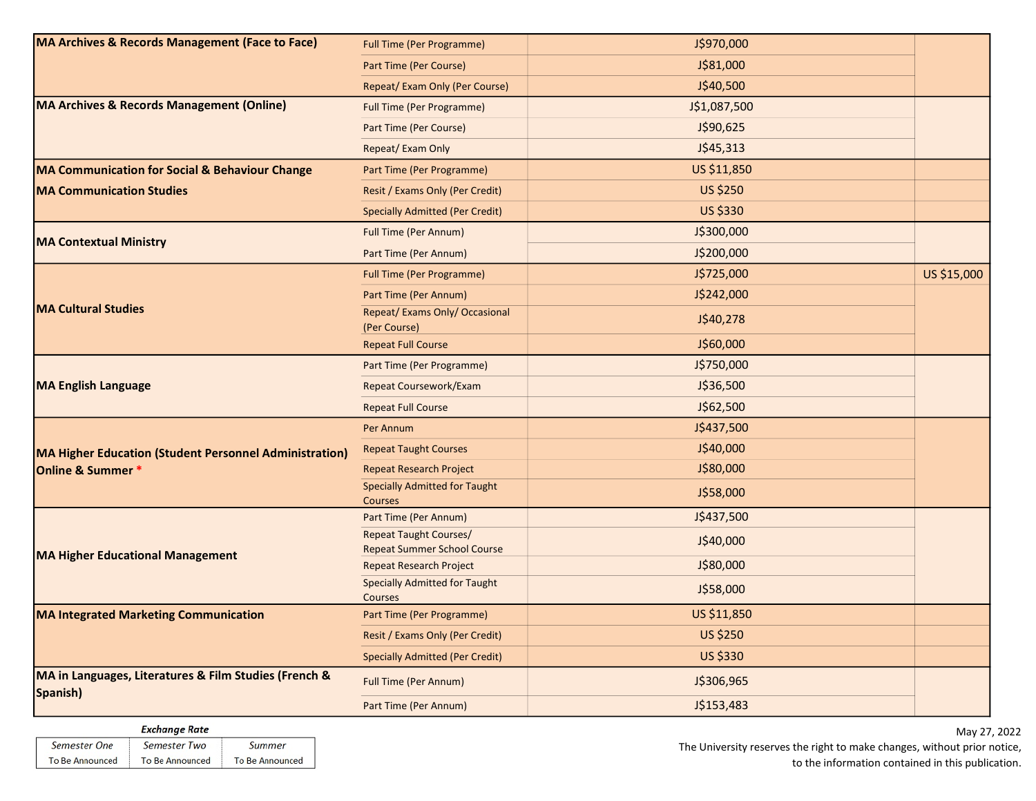| <b>MA Archives &amp; Records Management (Face to Face)</b>        | <b>Full Time (Per Programme)</b>                                    | J\$970,000      |             |
|-------------------------------------------------------------------|---------------------------------------------------------------------|-----------------|-------------|
|                                                                   | Part Time (Per Course)                                              | J\$81,000       |             |
|                                                                   | Repeat/ Exam Only (Per Course)                                      | J\$40,500       |             |
| <b>MA Archives &amp; Records Management (Online)</b>              | <b>Full Time (Per Programme)</b>                                    | J\$1,087,500    |             |
|                                                                   | Part Time (Per Course)                                              | J\$90,625       |             |
|                                                                   | Repeat/ Exam Only                                                   | J\$45,313       |             |
| MA Communication for Social & Behaviour Change                    | Part Time (Per Programme)                                           | US \$11,850     |             |
| <b>MA Communication Studies</b>                                   | Resit / Exams Only (Per Credit)                                     | <b>US \$250</b> |             |
|                                                                   | <b>Specially Admitted (Per Credit)</b>                              | US \$330        |             |
| <b>MA Contextual Ministry</b>                                     | <b>Full Time (Per Annum)</b>                                        | J\$300,000      |             |
|                                                                   | Part Time (Per Annum)                                               | J\$200,000      |             |
|                                                                   | <b>Full Time (Per Programme)</b>                                    | J\$725,000      | US \$15,000 |
| <b>MA Cultural Studies</b>                                        | Part Time (Per Annum)                                               | J\$242,000      |             |
|                                                                   | Repeat/ Exams Only/ Occasional<br>(Per Course)                      | J\$40,278       |             |
|                                                                   | <b>Repeat Full Course</b>                                           | J\$60,000       |             |
|                                                                   | Part Time (Per Programme)                                           | J\$750,000      |             |
| <b>MA English Language</b>                                        | <b>Repeat Coursework/Exam</b>                                       | J\$36,500       |             |
|                                                                   | <b>Repeat Full Course</b>                                           | J\$62,500       |             |
|                                                                   | Per Annum                                                           | J\$437,500      |             |
| <b>MA Higher Education (Student Personnel Administration)</b>     | <b>Repeat Taught Courses</b>                                        | J\$40,000       |             |
| Online & Summer *                                                 | <b>Repeat Research Project</b>                                      | J\$80,000       |             |
|                                                                   | <b>Specially Admitted for Taught</b><br><b>Courses</b>              | J\$58,000       |             |
|                                                                   | Part Time (Per Annum)                                               | J\$437,500      |             |
| <b>MA Higher Educational Management</b>                           | <b>Repeat Taught Courses/</b><br><b>Repeat Summer School Course</b> | J\$40,000       |             |
|                                                                   | <b>Repeat Research Project</b>                                      | J\$80,000       |             |
|                                                                   | <b>Specially Admitted for Taught</b><br>Courses                     | J\$58,000       |             |
| <b>MA Integrated Marketing Communication</b>                      | Part Time (Per Programme)                                           | US \$11,850     |             |
|                                                                   | Resit / Exams Only (Per Credit)                                     | <b>US \$250</b> |             |
|                                                                   | <b>Specially Admitted (Per Credit)</b>                              | <b>US \$330</b> |             |
| MA in Languages, Literatures & Film Studies (French &<br>Spanish) | <b>Full Time (Per Annum)</b>                                        | J\$306,965      |             |
|                                                                   | Part Time (Per Annum)                                               | J\$153,483      |             |

#### **Exchange Rate** Semester One Semester Two Summer To Be Announced To Be Announced To Be Announced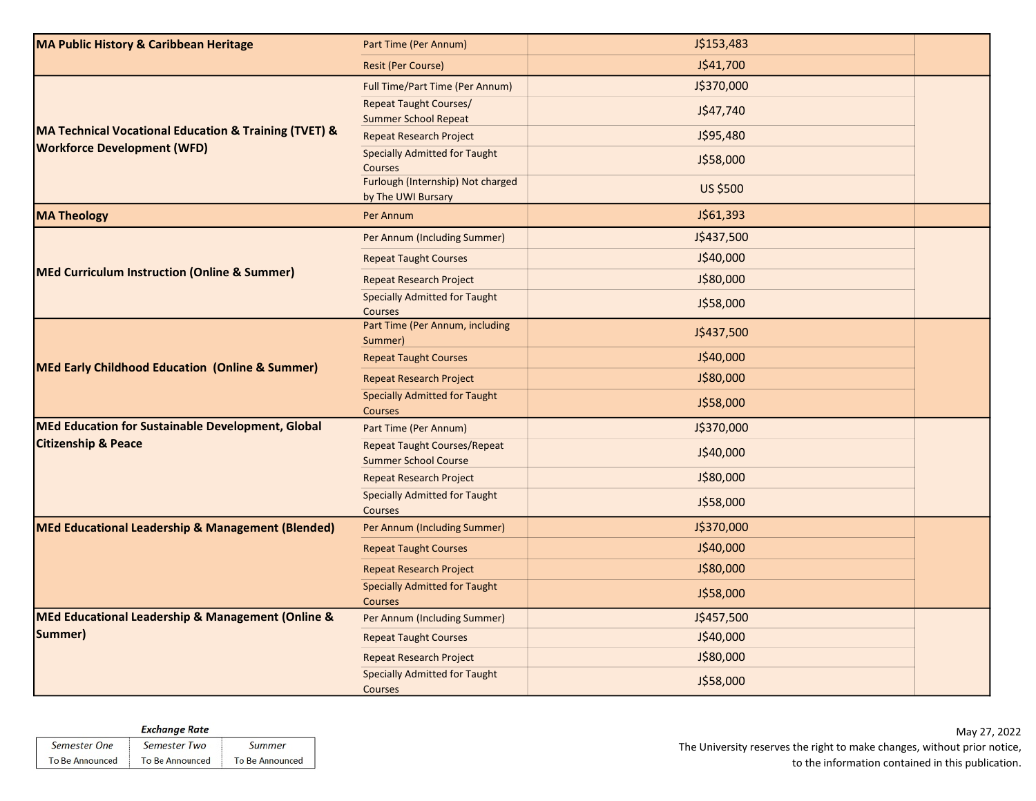| <b>MA Public History &amp; Caribbean Heritage</b>       | Part Time (Per Annum)                                              | J\$153,483      |  |
|---------------------------------------------------------|--------------------------------------------------------------------|-----------------|--|
|                                                         | <b>Resit (Per Course)</b>                                          | J\$41,700       |  |
|                                                         | <b>Full Time/Part Time (Per Annum)</b>                             | J\$370,000      |  |
|                                                         | <b>Repeat Taught Courses/</b><br><b>Summer School Repeat</b>       | J\$47,740       |  |
| MA Technical Vocational Education & Training (TVET) &   | <b>Repeat Research Project</b>                                     | J\$95,480       |  |
| <b>Workforce Development (WFD)</b>                      | <b>Specially Admitted for Taught</b><br>Courses                    | J\$58,000       |  |
|                                                         | Furlough (Internship) Not charged<br>by The UWI Bursary            | <b>US \$500</b> |  |
| <b>MA Theology</b>                                      | Per Annum                                                          | J\$61,393       |  |
|                                                         | Per Annum (Including Summer)                                       | J\$437,500      |  |
|                                                         | <b>Repeat Taught Courses</b>                                       | J\$40,000       |  |
| <b>MEd Curriculum Instruction (Online &amp; Summer)</b> | <b>Repeat Research Project</b>                                     | J\$80,000       |  |
|                                                         | <b>Specially Admitted for Taught</b><br>Courses                    | J\$58,000       |  |
| MEd Early Childhood Education (Online & Summer)         | Part Time (Per Annum, including<br>Summer)                         | J\$437,500      |  |
|                                                         | <b>Repeat Taught Courses</b>                                       | J\$40,000       |  |
|                                                         | <b>Repeat Research Project</b>                                     | J\$80,000       |  |
|                                                         | <b>Specially Admitted for Taught</b><br><b>Courses</b>             | J\$58,000       |  |
| MEd Education for Sustainable Development, Global       | Part Time (Per Annum)                                              | J\$370,000      |  |
| <b>Citizenship &amp; Peace</b>                          | <b>Repeat Taught Courses/Repeat</b><br><b>Summer School Course</b> | J\$40,000       |  |
|                                                         | <b>Repeat Research Project</b>                                     | J\$80,000       |  |
|                                                         | <b>Specially Admitted for Taught</b><br>Courses                    | J\$58,000       |  |
| MEd Educational Leadership & Management (Blended)       | Per Annum (Including Summer)                                       | J\$370,000      |  |
|                                                         | <b>Repeat Taught Courses</b>                                       | J\$40,000       |  |
|                                                         | <b>Repeat Research Project</b>                                     | J\$80,000       |  |
|                                                         | <b>Specially Admitted for Taught</b><br>Courses                    | J\$58,000       |  |
| MEd Educational Leadership & Management (Online &       | Per Annum (Including Summer)                                       | J\$457,500      |  |
| Summer)                                                 | <b>Repeat Taught Courses</b>                                       | J\$40,000       |  |
|                                                         | <b>Repeat Research Project</b>                                     | J\$80,000       |  |
|                                                         | <b>Specially Admitted for Taught</b><br>Courses                    | J\$58,000       |  |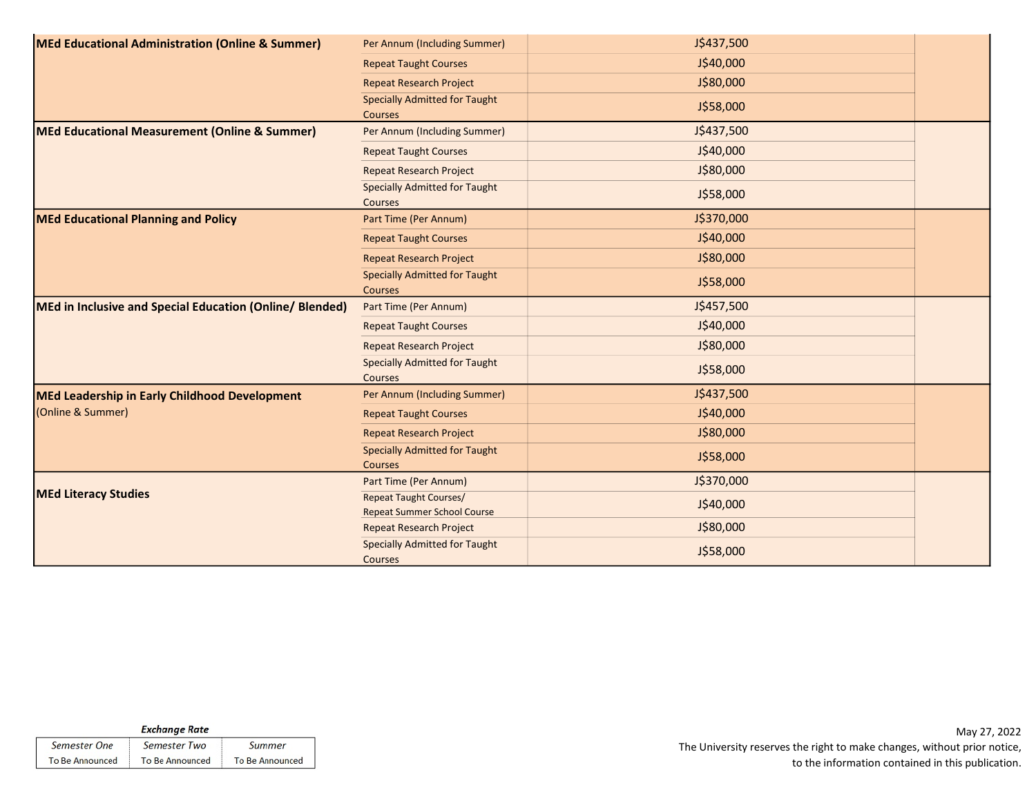| MEd Educational Administration (Online & Summer)         | Per Annum (Including Summer)                                        | J\$437,500 |  |
|----------------------------------------------------------|---------------------------------------------------------------------|------------|--|
|                                                          | <b>Repeat Taught Courses</b>                                        | J\$40,000  |  |
|                                                          | <b>Repeat Research Project</b>                                      | J\$80,000  |  |
|                                                          | <b>Specially Admitted for Taught</b><br><b>Courses</b>              | J\$58,000  |  |
| MEd Educational Measurement (Online & Summer)            | Per Annum (Including Summer)                                        | J\$437,500 |  |
|                                                          | <b>Repeat Taught Courses</b>                                        | J\$40,000  |  |
|                                                          | <b>Repeat Research Project</b>                                      | J\$80,000  |  |
|                                                          | <b>Specially Admitted for Taught</b><br><b>Courses</b>              | J\$58,000  |  |
| <b>MEd Educational Planning and Policy</b>               | Part Time (Per Annum)                                               | J\$370,000 |  |
|                                                          | <b>Repeat Taught Courses</b>                                        | J\$40,000  |  |
|                                                          | <b>Repeat Research Project</b>                                      | J\$80,000  |  |
|                                                          | <b>Specially Admitted for Taught</b><br>Courses                     | J\$58,000  |  |
| MEd in Inclusive and Special Education (Online/ Blended) | Part Time (Per Annum)                                               | J\$457,500 |  |
|                                                          | <b>Repeat Taught Courses</b>                                        | J\$40,000  |  |
|                                                          | <b>Repeat Research Project</b>                                      | J\$80,000  |  |
|                                                          | <b>Specially Admitted for Taught</b><br><b>Courses</b>              | J\$58,000  |  |
| MEd Leadership in Early Childhood Development            | Per Annum (Including Summer)                                        | J\$437,500 |  |
| (Online & Summer)                                        | <b>Repeat Taught Courses</b>                                        | J\$40,000  |  |
|                                                          | <b>Repeat Research Project</b>                                      | J\$80,000  |  |
|                                                          | <b>Specially Admitted for Taught</b><br>Courses                     | J\$58,000  |  |
|                                                          | Part Time (Per Annum)                                               | J\$370,000 |  |
| <b>MEd Literacy Studies</b>                              | <b>Repeat Taught Courses/</b><br><b>Repeat Summer School Course</b> | J\$40,000  |  |
|                                                          | <b>Repeat Research Project</b>                                      | J\$80,000  |  |
|                                                          | <b>Specially Admitted for Taught</b><br><b>Courses</b>              | J\$58,000  |  |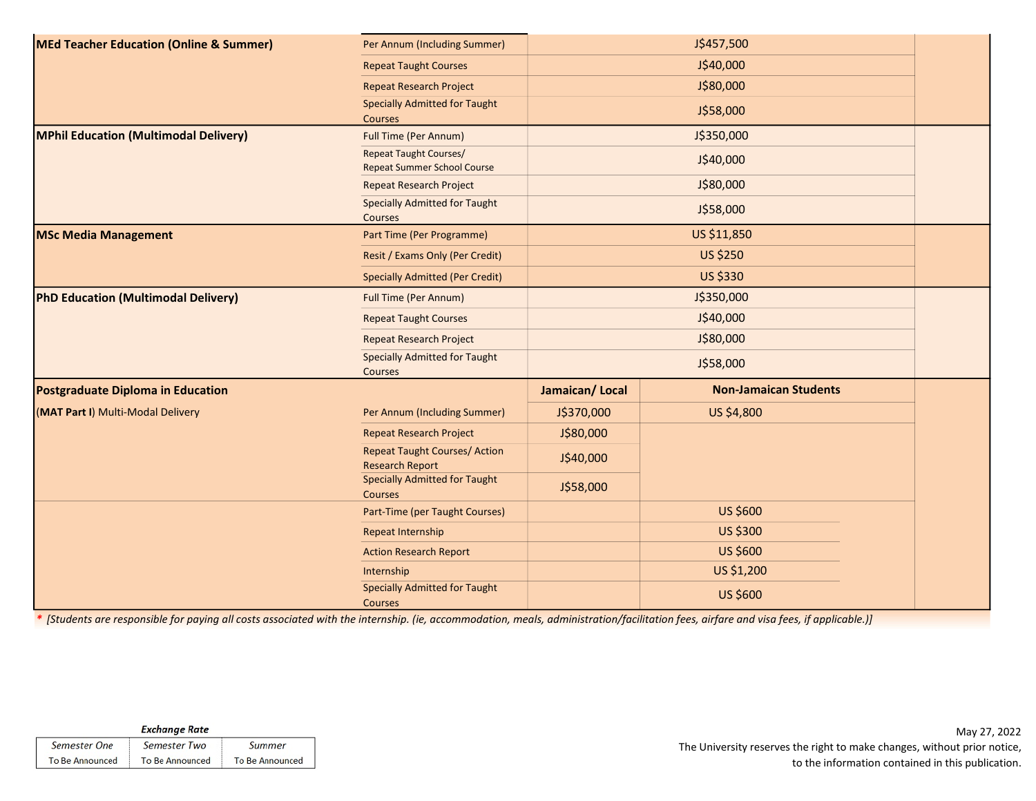| <b>MEd Teacher Education (Online &amp; Summer)</b> | Per Annum (Including Summer)                                        |                | J\$457,500                   |  |
|----------------------------------------------------|---------------------------------------------------------------------|----------------|------------------------------|--|
|                                                    | <b>Repeat Taught Courses</b>                                        |                | J\$40,000                    |  |
|                                                    | <b>Repeat Research Project</b>                                      |                | J\$80,000                    |  |
|                                                    | <b>Specially Admitted for Taught</b><br>Courses                     |                | J\$58,000                    |  |
| <b>MPhil Education (Multimodal Delivery)</b>       | <b>Full Time (Per Annum)</b>                                        |                | J\$350,000                   |  |
|                                                    | <b>Repeat Taught Courses/</b><br><b>Repeat Summer School Course</b> |                | J\$40,000                    |  |
|                                                    | <b>Repeat Research Project</b>                                      |                | J\$80,000                    |  |
|                                                    | <b>Specially Admitted for Taught</b><br>Courses                     |                | J\$58,000                    |  |
| <b>MSc Media Management</b>                        | Part Time (Per Programme)                                           |                | US \$11,850                  |  |
|                                                    | Resit / Exams Only (Per Credit)                                     |                | <b>US \$250</b>              |  |
|                                                    | <b>Specially Admitted (Per Credit)</b>                              |                | <b>US \$330</b>              |  |
| PhD Education (Multimodal Delivery)                | <b>Full Time (Per Annum)</b>                                        |                | J\$350,000                   |  |
|                                                    | <b>Repeat Taught Courses</b>                                        |                |                              |  |
|                                                    | <b>Repeat Research Project</b>                                      |                |                              |  |
|                                                    | <b>Specially Admitted for Taught</b><br>Courses                     |                | J\$58,000                    |  |
| <b>Postgraduate Diploma in Education</b>           |                                                                     | Jamaican/Local | <b>Non-Jamaican Students</b> |  |
| (MAT Part I) Multi-Modal Delivery                  | Per Annum (Including Summer)                                        | J\$370,000     | US \$4,800                   |  |
|                                                    | <b>Repeat Research Project</b>                                      | J\$80,000      |                              |  |
|                                                    | <b>Repeat Taught Courses/ Action</b><br><b>Research Report</b>      | J\$40,000      |                              |  |
|                                                    | <b>Specially Admitted for Taught</b><br><b>Courses</b>              | J\$58,000      |                              |  |
|                                                    | Part-Time (per Taught Courses)                                      |                | US \$600                     |  |
|                                                    | Repeat Internship                                                   |                | US \$300                     |  |
|                                                    | <b>Action Research Report</b>                                       |                | US \$600                     |  |
|                                                    | Internship                                                          |                | US \$1,200                   |  |
|                                                    | <b>Specially Admitted for Taught</b><br>Courses                     |                | US \$600                     |  |

\* [Students are responsible for paying all costs associated with the internship. (ie, accommodation, meals, administration/facilitation fees, airfare and visa fees, if applicable.)]

| <b>Exchange Rate</b>   |                        |                        |  |  |  |
|------------------------|------------------------|------------------------|--|--|--|
| Semester One           | Semester Two           | Summer                 |  |  |  |
| <b>To Be Announced</b> | <b>To Be Announced</b> | <b>To Be Announced</b> |  |  |  |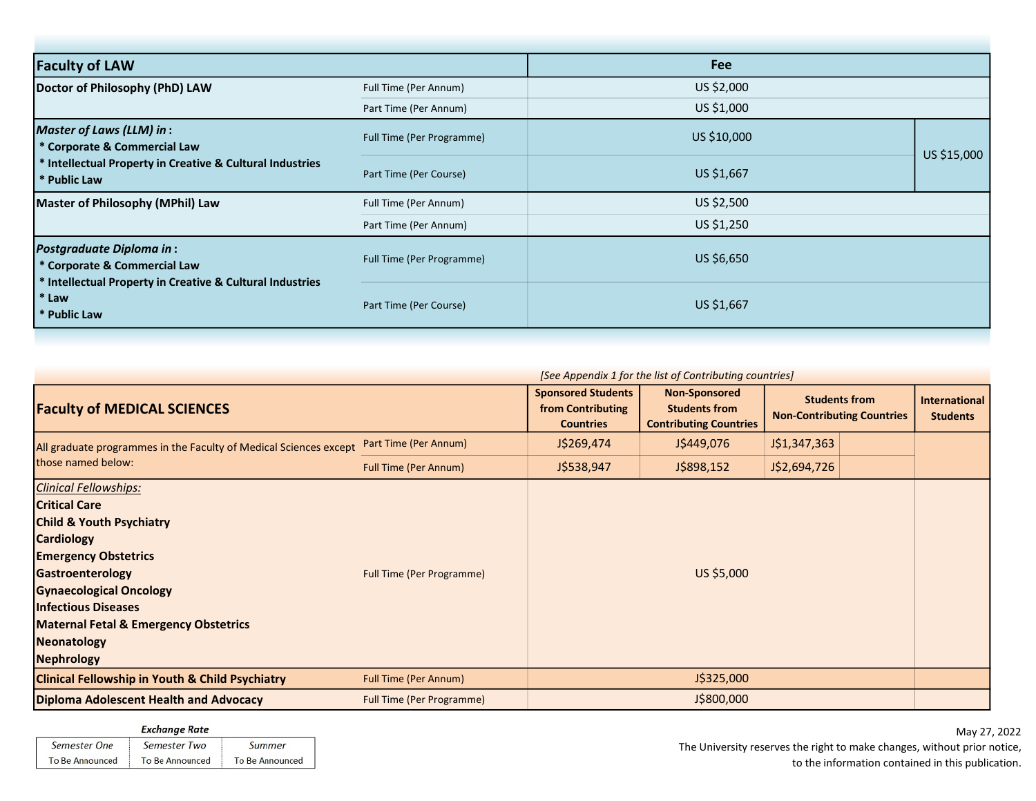| <b>Faculty of LAW</b>                                                                                                                                 |                           | <b>Fee</b>  |             |
|-------------------------------------------------------------------------------------------------------------------------------------------------------|---------------------------|-------------|-------------|
| Doctor of Philosophy (PhD) LAW                                                                                                                        | Full Time (Per Annum)     | US \$2,000  |             |
|                                                                                                                                                       | Part Time (Per Annum)     | US \$1,000  |             |
| <b>Master of Laws (LLM) in:</b><br>* Corporate & Commercial Law                                                                                       | Full Time (Per Programme) | US \$10,000 | US \$15,000 |
| * Intellectual Property in Creative & Cultural Industries<br>* Public Law                                                                             | Part Time (Per Course)    | US \$1,667  |             |
| Master of Philosophy (MPhil) Law                                                                                                                      | Full Time (Per Annum)     | US \$2,500  |             |
|                                                                                                                                                       | Part Time (Per Annum)     | US \$1,250  |             |
| <b>Postgraduate Diploma in:</b><br>* Corporate & Commercial Law<br>* Intellectual Property in Creative & Cultural Industries<br>* Law<br>* Public Law | Full Time (Per Programme) | US \$6,650  |             |
|                                                                                                                                                       | Part Time (Per Course)    | US \$1,667  |             |

|                                                                                                                                                                                                                                                                                                                      | [See Appendix 1 for the list of Contributing countries] |                                                                    |                                                                               |                                                           |  |                                         |
|----------------------------------------------------------------------------------------------------------------------------------------------------------------------------------------------------------------------------------------------------------------------------------------------------------------------|---------------------------------------------------------|--------------------------------------------------------------------|-------------------------------------------------------------------------------|-----------------------------------------------------------|--|-----------------------------------------|
| <b>Faculty of MEDICAL SCIENCES</b>                                                                                                                                                                                                                                                                                   |                                                         | <b>Sponsored Students</b><br>from Contributing<br><b>Countries</b> | <b>Non-Sponsored</b><br><b>Students from</b><br><b>Contributing Countries</b> | <b>Students from</b><br><b>Non-Contributing Countries</b> |  | <b>International</b><br><b>Students</b> |
| All graduate programmes in the Faculty of Medical Sciences except<br>those named below:                                                                                                                                                                                                                              | Part Time (Per Annum)                                   | J\$269,474                                                         | J\$449,076                                                                    | J\$1,347,363                                              |  |                                         |
|                                                                                                                                                                                                                                                                                                                      | <b>Full Time (Per Annum)</b>                            | J\$538,947                                                         | J\$898,152                                                                    | J\$2,694,726                                              |  |                                         |
| <b>Clinical Fellowships:</b><br><b>Critical Care</b><br><b>Child &amp; Youth Psychiatry</b><br><b>Cardiology</b><br><b>Emergency Obstetrics</b><br>Gastroenterology<br><b>Gynaecological Oncology</b><br><b>Infectious Diseases</b><br><b>Maternal Fetal &amp; Emergency Obstetrics</b><br>Neonatology<br>Nephrology | <b>Full Time (Per Programme)</b>                        |                                                                    | US \$5,000                                                                    |                                                           |  |                                         |
| <b>Clinical Fellowship in Youth &amp; Child Psychiatry</b>                                                                                                                                                                                                                                                           | <b>Full Time (Per Annum)</b>                            |                                                                    | J\$325,000                                                                    |                                                           |  |                                         |
| Diploma Adolescent Health and Advocacy                                                                                                                                                                                                                                                                               | <b>Full Time (Per Programme)</b>                        |                                                                    | J\$800,000                                                                    |                                                           |  |                                         |

**Exchange Rate** Semester One Semester Two Summer To Be Announced To Be Announced To Be Announced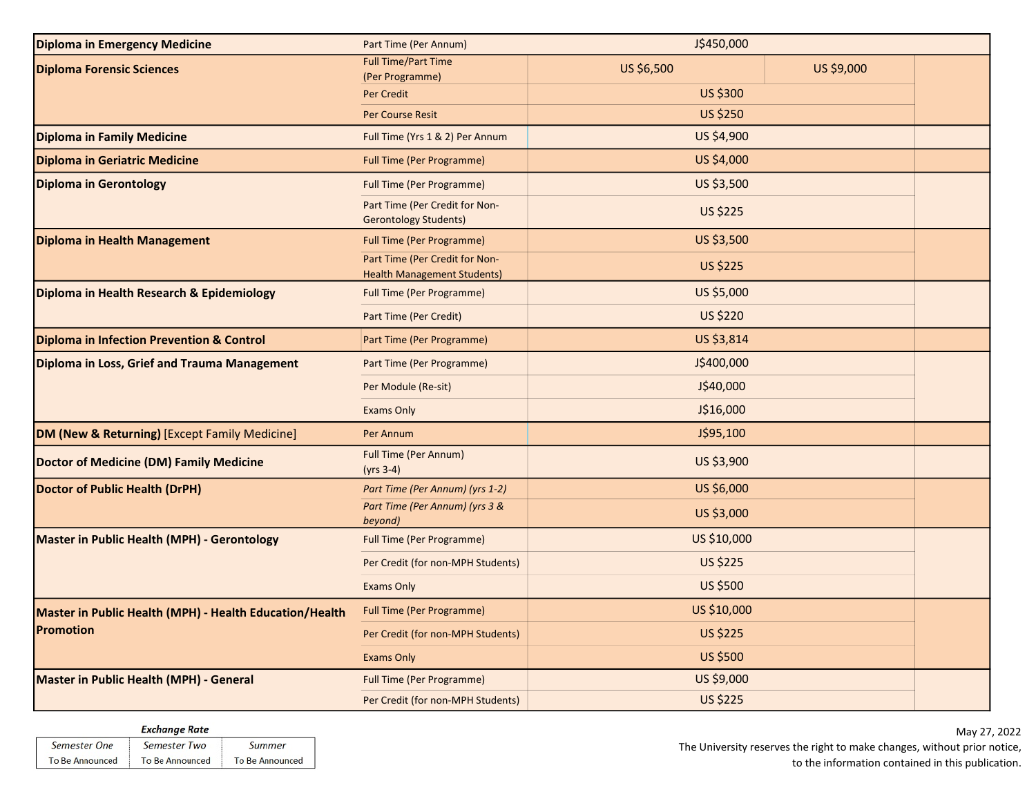| <b>Diploma in Emergency Medicine</b>                    | Part Time (Per Annum)                                                | J\$450,000      |            |  |  |
|---------------------------------------------------------|----------------------------------------------------------------------|-----------------|------------|--|--|
| <b>Diploma Forensic Sciences</b>                        | <b>Full Time/Part Time</b><br>(Per Programme)                        | US \$6,500      | US \$9,000 |  |  |
|                                                         | Per Credit                                                           | US \$300        |            |  |  |
|                                                         | <b>Per Course Resit</b>                                              | <b>US \$250</b> |            |  |  |
| Diploma in Family Medicine                              | Full Time (Yrs 1 & 2) Per Annum                                      | US \$4,900      |            |  |  |
| Diploma in Geriatric Medicine                           | <b>Full Time (Per Programme)</b>                                     | US \$4,000      |            |  |  |
| <b>Diploma in Gerontology</b>                           | <b>Full Time (Per Programme)</b>                                     | US \$3,500      |            |  |  |
|                                                         | Part Time (Per Credit for Non-<br><b>Gerontology Students)</b>       | <b>US \$225</b> |            |  |  |
| Diploma in Health Management                            | <b>Full Time (Per Programme)</b>                                     | US \$3,500      |            |  |  |
|                                                         | Part Time (Per Credit for Non-<br><b>Health Management Students)</b> | <b>US \$225</b> |            |  |  |
| Diploma in Health Research & Epidemiology               | <b>Full Time (Per Programme)</b>                                     | US \$5,000      |            |  |  |
|                                                         | Part Time (Per Credit)                                               | <b>US \$220</b> |            |  |  |
| Diploma in Infection Prevention & Control               | Part Time (Per Programme)                                            | US \$3,814      |            |  |  |
| Diploma in Loss, Grief and Trauma Management            | Part Time (Per Programme)                                            | J\$400,000      |            |  |  |
|                                                         | Per Module (Re-sit)                                                  | J\$40,000       |            |  |  |
|                                                         | <b>Exams Only</b>                                                    | J\$16,000       |            |  |  |
| DM (New & Returning) [Except Family Medicine]           | Per Annum                                                            | J\$95,100       |            |  |  |
| <b>Doctor of Medicine (DM) Family Medicine</b>          | <b>Full Time (Per Annum)</b><br>$(yrs 3-4)$                          | US \$3,900      |            |  |  |
| <b>Doctor of Public Health (DrPH)</b>                   | Part Time (Per Annum) (yrs 1-2)                                      | US \$6,000      |            |  |  |
|                                                         | Part Time (Per Annum) (yrs 3 &<br>beyond)                            | US \$3,000      |            |  |  |
| Master in Public Health (MPH) - Gerontology             | <b>Full Time (Per Programme)</b>                                     | US \$10,000     |            |  |  |
|                                                         | Per Credit (for non-MPH Students)                                    | <b>US \$225</b> |            |  |  |
|                                                         | <b>Exams Only</b>                                                    | US \$500        |            |  |  |
| Master in Public Health (MPH) - Health Education/Health | <b>Full Time (Per Programme)</b>                                     | US \$10,000     |            |  |  |
| Promotion                                               | Per Credit (for non-MPH Students)                                    | <b>US \$225</b> |            |  |  |
|                                                         | <b>Exams Only</b>                                                    | <b>US \$500</b> |            |  |  |
| Master in Public Health (MPH) - General                 | <b>Full Time (Per Programme)</b>                                     | US \$9,000      |            |  |  |
|                                                         | Per Credit (for non-MPH Students)                                    | <b>US \$225</b> |            |  |  |

| <b>Exchange Rate</b>   |                        |                 |  |
|------------------------|------------------------|-----------------|--|
| Semester One           | Semester Two           | Summer          |  |
| <b>To Be Announced</b> | <b>To Be Announced</b> | To Be Announced |  |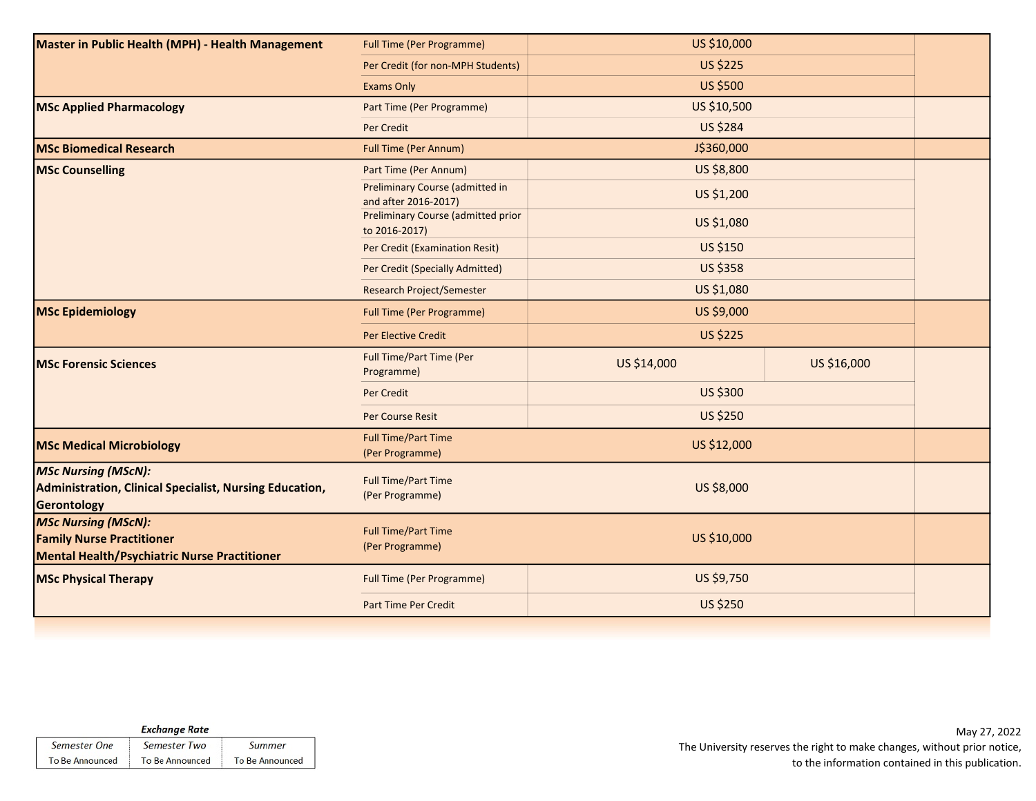| Master in Public Health (MPH) - Health Management                                                              | <b>Full Time (Per Programme)</b>                        | US \$10,000     |             |  |
|----------------------------------------------------------------------------------------------------------------|---------------------------------------------------------|-----------------|-------------|--|
|                                                                                                                | Per Credit (for non-MPH Students)                       | <b>US \$225</b> |             |  |
|                                                                                                                | <b>Exams Only</b>                                       | <b>US \$500</b> |             |  |
| <b>MSc Applied Pharmacology</b>                                                                                | Part Time (Per Programme)                               | US \$10,500     |             |  |
|                                                                                                                | Per Credit                                              | <b>US \$284</b> |             |  |
| <b>MSc Biomedical Research</b>                                                                                 | <b>Full Time (Per Annum)</b>                            | J\$360,000      |             |  |
| <b>MSc Counselling</b>                                                                                         | Part Time (Per Annum)                                   | US \$8,800      |             |  |
|                                                                                                                | Preliminary Course (admitted in<br>and after 2016-2017) | US \$1,200      |             |  |
|                                                                                                                | Preliminary Course (admitted prior<br>to 2016-2017)     | US \$1,080      |             |  |
|                                                                                                                | Per Credit (Examination Resit)                          | US \$150        |             |  |
|                                                                                                                | Per Credit (Specially Admitted)                         | <b>US \$358</b> |             |  |
|                                                                                                                | Research Project/Semester                               | US \$1,080      |             |  |
| <b>MSc Epidemiology</b>                                                                                        | <b>Full Time (Per Programme)</b>                        | US \$9,000      |             |  |
|                                                                                                                | Per Elective Credit                                     | <b>US \$225</b> |             |  |
| <b>MSc Forensic Sciences</b>                                                                                   | Full Time/Part Time (Per<br>Programme)                  | US \$14,000     | US \$16,000 |  |
|                                                                                                                | <b>Per Credit</b>                                       | US \$300        |             |  |
|                                                                                                                | <b>Per Course Resit</b>                                 | <b>US \$250</b> |             |  |
| <b>MSc Medical Microbiology</b>                                                                                | <b>Full Time/Part Time</b><br>(Per Programme)           | US \$12,000     |             |  |
| <b>MSc Nursing (MScN):</b><br>Administration, Clinical Specialist, Nursing Education,<br>Gerontology           | <b>Full Time/Part Time</b><br>(Per Programme)           | US \$8,000      |             |  |
| <b>MSc Nursing (MScN):</b><br><b>Family Nurse Practitioner</b><br>Mental Health/Psychiatric Nurse Practitioner | <b>Full Time/Part Time</b><br>(Per Programme)           | US \$10,000     |             |  |
| <b>MSc Physical Therapy</b>                                                                                    | <b>Full Time (Per Programme)</b>                        | US \$9,750      |             |  |
|                                                                                                                | Part Time Per Credit                                    | <b>US \$250</b> |             |  |
|                                                                                                                |                                                         |                 |             |  |

|                        | <b>Exchange Rate</b>   |                 |
|------------------------|------------------------|-----------------|
| Semester One           | Semester Two           | Summer          |
| <b>To Be Announced</b> | <b>To Be Announced</b> | To Be Announced |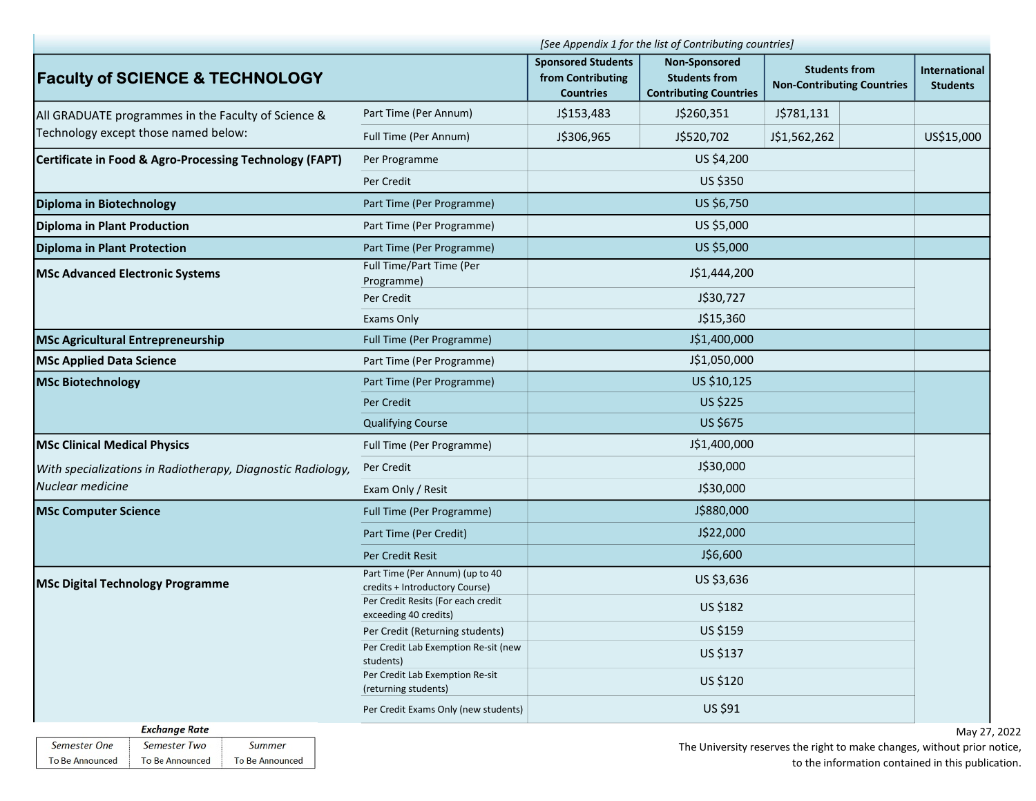|                                                             | [See Appendix 1 for the list of Contributing countries]           |                                                                    |                                                                               |                                                                    |                                  |
|-------------------------------------------------------------|-------------------------------------------------------------------|--------------------------------------------------------------------|-------------------------------------------------------------------------------|--------------------------------------------------------------------|----------------------------------|
| <b>Faculty of SCIENCE &amp; TECHNOLOGY</b>                  |                                                                   | <b>Sponsored Students</b><br>from Contributing<br><b>Countries</b> | <b>Non-Sponsored</b><br><b>Students from</b><br><b>Contributing Countries</b> | <b>Students from</b><br><b>Non-Contributing Countries</b>          | International<br><b>Students</b> |
| All GRADUATE programmes in the Faculty of Science &         | Part Time (Per Annum)                                             | J\$153,483                                                         | J\$260,351                                                                    | J\$781,131                                                         |                                  |
| Technology except those named below:                        | Full Time (Per Annum)                                             | J\$306,965                                                         | J\$520,702                                                                    | J\$1,562,262                                                       | US\$15,000                       |
| Certificate in Food & Agro-Processing Technology (FAPT)     | Per Programme                                                     |                                                                    | US \$4,200                                                                    |                                                                    |                                  |
|                                                             | Per Credit                                                        |                                                                    | US \$350                                                                      |                                                                    |                                  |
| Diploma in Biotechnology                                    | Part Time (Per Programme)                                         |                                                                    | US \$6,750                                                                    |                                                                    |                                  |
| Diploma in Plant Production                                 | Part Time (Per Programme)                                         |                                                                    | US \$5,000                                                                    |                                                                    |                                  |
| Diploma in Plant Protection                                 | Part Time (Per Programme)                                         |                                                                    | US \$5,000                                                                    |                                                                    |                                  |
| <b>MSc Advanced Electronic Systems</b>                      | Full Time/Part Time (Per<br>Programme)                            |                                                                    | J\$1,444,200                                                                  |                                                                    |                                  |
|                                                             | Per Credit                                                        |                                                                    | J\$30,727                                                                     |                                                                    |                                  |
|                                                             | Exams Only                                                        |                                                                    | J\$15,360                                                                     |                                                                    |                                  |
| <b>MSc Agricultural Entrepreneurship</b>                    | Full Time (Per Programme)                                         |                                                                    | J\$1,400,000                                                                  |                                                                    |                                  |
| <b>MSc Applied Data Science</b>                             | Part Time (Per Programme)                                         |                                                                    | J\$1,050,000                                                                  |                                                                    |                                  |
| <b>MSc Biotechnology</b>                                    | Part Time (Per Programme)                                         |                                                                    | US \$10,125                                                                   |                                                                    |                                  |
|                                                             | Per Credit                                                        |                                                                    | US \$225                                                                      |                                                                    |                                  |
|                                                             | <b>Qualifying Course</b>                                          |                                                                    | US \$675                                                                      |                                                                    |                                  |
| <b>MSc Clinical Medical Physics</b>                         | Full Time (Per Programme)                                         |                                                                    | J\$1,400,000                                                                  |                                                                    |                                  |
| With specializations in Radiotherapy, Diagnostic Radiology, | Per Credit                                                        |                                                                    | J\$30,000                                                                     |                                                                    |                                  |
| Nuclear medicine                                            | Exam Only / Resit                                                 |                                                                    | J\$30,000                                                                     |                                                                    |                                  |
| <b>MSc Computer Science</b>                                 | Full Time (Per Programme)                                         |                                                                    | J\$880,000                                                                    |                                                                    |                                  |
|                                                             | Part Time (Per Credit)                                            |                                                                    | J\$22,000                                                                     |                                                                    |                                  |
|                                                             | Per Credit Resit                                                  |                                                                    | J\$6,600                                                                      |                                                                    |                                  |
| <b>MSc Digital Technology Programme</b>                     | Part Time (Per Annum) (up to 40<br>credits + Introductory Course) |                                                                    | US \$3,636                                                                    |                                                                    |                                  |
|                                                             | Per Credit Resits (For each credit<br>exceeding 40 credits)       |                                                                    | US \$182                                                                      |                                                                    |                                  |
|                                                             | Per Credit (Returning students)                                   |                                                                    | US \$159                                                                      |                                                                    |                                  |
|                                                             | Per Credit Lab Exemption Re-sit (new<br>students)                 |                                                                    | US \$137                                                                      |                                                                    |                                  |
|                                                             | Per Credit Lab Exemption Re-sit<br>(returning students)           |                                                                    | US \$120                                                                      |                                                                    |                                  |
|                                                             | Per Credit Exams Only (new students)                              |                                                                    | US \$91                                                                       |                                                                    |                                  |
| <b>Exchange Rate</b>                                        |                                                                   |                                                                    |                                                                               |                                                                    | May 27                           |
| Semester One<br>Semester Two<br>Summer                      |                                                                   |                                                                    |                                                                               | The University recenses the right to make changes, without prior r |                                  |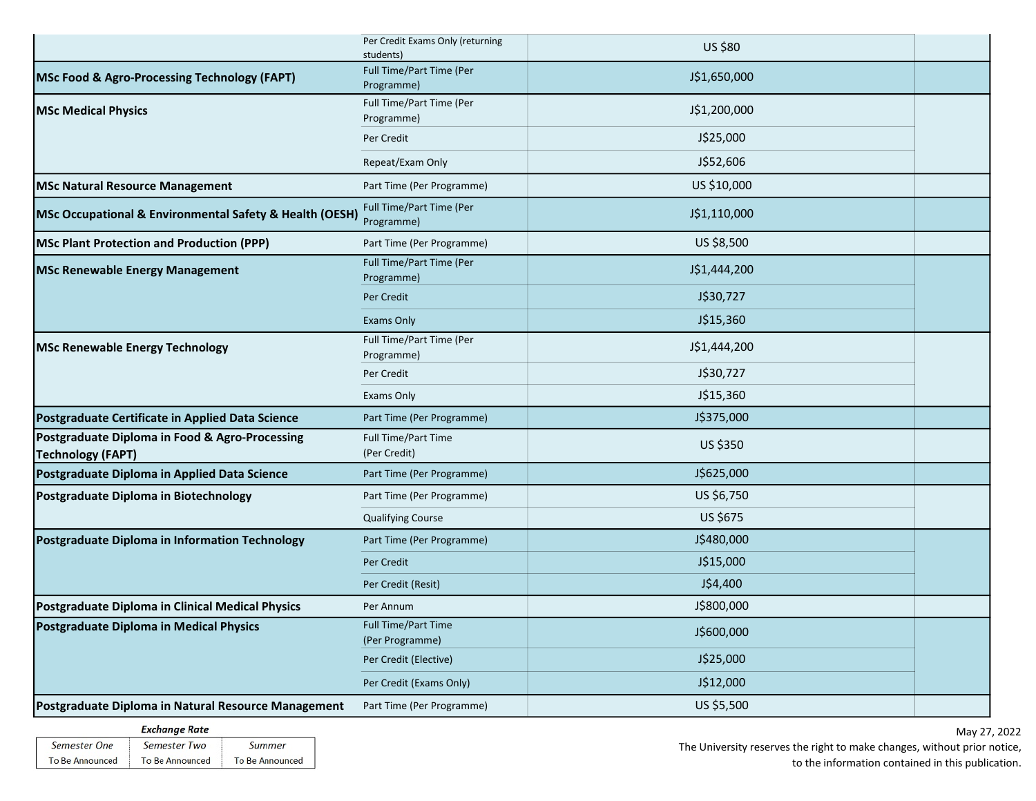|                                                                            | Per Credit Exams Only (returning<br>students) | US \$80      |  |
|----------------------------------------------------------------------------|-----------------------------------------------|--------------|--|
| <b>MSc Food &amp; Agro-Processing Technology (FAPT)</b>                    | Full Time/Part Time (Per<br>Programme)        | J\$1,650,000 |  |
| <b>MSc Medical Physics</b>                                                 | Full Time/Part Time (Per<br>Programme)        | J\$1,200,000 |  |
|                                                                            | Per Credit                                    | J\$25,000    |  |
|                                                                            | Repeat/Exam Only                              | J\$52,606    |  |
| <b>MSc Natural Resource Management</b>                                     | Part Time (Per Programme)                     | US \$10,000  |  |
| MSc Occupational & Environmental Safety & Health (OESH)                    | Full Time/Part Time (Per<br>Programme)        | J\$1,110,000 |  |
| <b>MSc Plant Protection and Production (PPP)</b>                           | Part Time (Per Programme)                     | US \$8,500   |  |
| <b>MSc Renewable Energy Management</b>                                     | Full Time/Part Time (Per<br>Programme)        | J\$1,444,200 |  |
|                                                                            | Per Credit                                    | J\$30,727    |  |
|                                                                            | <b>Exams Only</b>                             | J\$15,360    |  |
| <b>MSc Renewable Energy Technology</b>                                     | Full Time/Part Time (Per<br>Programme)        | J\$1,444,200 |  |
|                                                                            | Per Credit                                    | J\$30,727    |  |
|                                                                            | Exams Only                                    | J\$15,360    |  |
| Postgraduate Certificate in Applied Data Science                           | Part Time (Per Programme)                     | J\$375,000   |  |
| Postgraduate Diploma in Food & Agro-Processing<br><b>Technology (FAPT)</b> | Full Time/Part Time<br>(Per Credit)           | US \$350     |  |
| Postgraduate Diploma in Applied Data Science                               | Part Time (Per Programme)                     | J\$625,000   |  |
| Postgraduate Diploma in Biotechnology                                      | Part Time (Per Programme)                     | US \$6,750   |  |
|                                                                            | <b>Qualifying Course</b>                      | US \$675     |  |
| Postgraduate Diploma in Information Technology                             | Part Time (Per Programme)                     | J\$480,000   |  |
|                                                                            | Per Credit                                    | J\$15,000    |  |
|                                                                            | Per Credit (Resit)                            | J\$4,400     |  |
| Postgraduate Diploma in Clinical Medical Physics                           | Per Annum                                     | J\$800,000   |  |
| Postgraduate Diploma in Medical Physics                                    | <b>Full Time/Part Time</b><br>(Per Programme) | J\$600,000   |  |
|                                                                            | Per Credit (Elective)                         | J\$25,000    |  |
|                                                                            | Per Credit (Exams Only)                       | J\$12,000    |  |
| Postgraduate Diploma in Natural Resource Management                        | Part Time (Per Programme)                     | US \$5,500   |  |

| <b>Exchange Rate</b>   |                        |                        |  |  |
|------------------------|------------------------|------------------------|--|--|
| Semester One           | Semester Two           | Summer                 |  |  |
| <b>To Be Announced</b> | <b>To Be Announced</b> | <b>To Be Announced</b> |  |  |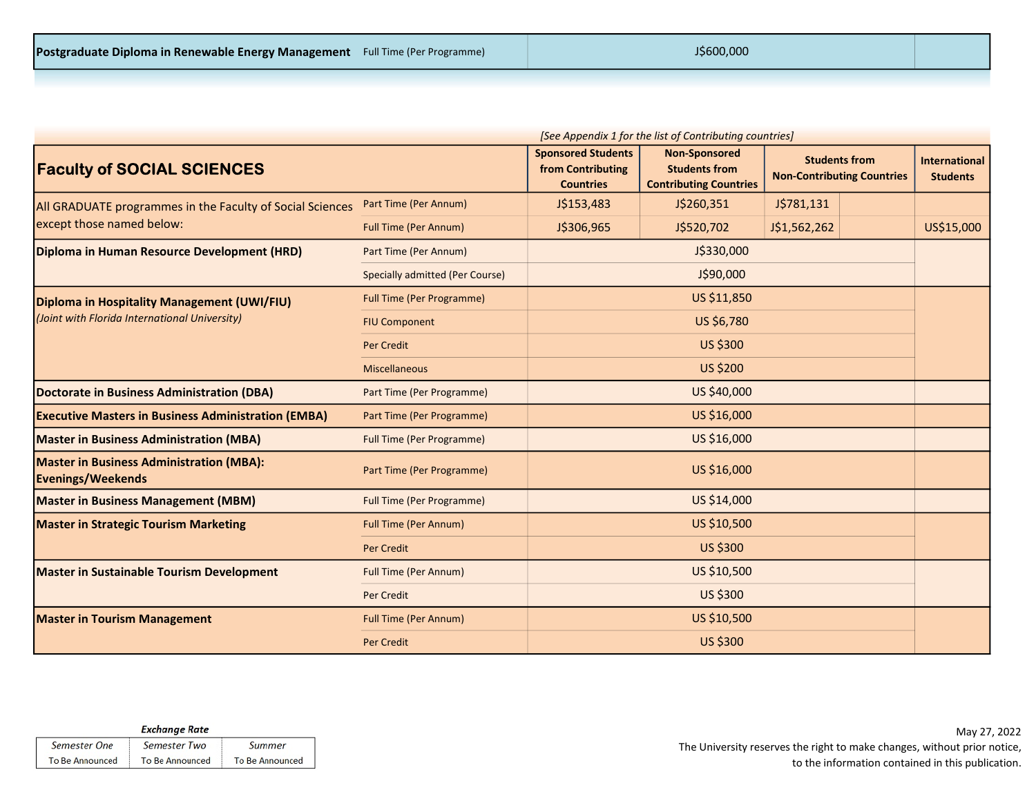| [See Appendix 1 for the list of Contributing countries]                     |                                        |                                                                    |                                                                               |                                                           |  |                                  |
|-----------------------------------------------------------------------------|----------------------------------------|--------------------------------------------------------------------|-------------------------------------------------------------------------------|-----------------------------------------------------------|--|----------------------------------|
| <b>Faculty of SOCIAL SCIENCES</b>                                           |                                        | <b>Sponsored Students</b><br>from Contributing<br><b>Countries</b> | <b>Non-Sponsored</b><br><b>Students from</b><br><b>Contributing Countries</b> | <b>Students from</b><br><b>Non-Contributing Countries</b> |  | International<br><b>Students</b> |
| All GRADUATE programmes in the Faculty of Social Sciences                   | Part Time (Per Annum)                  | J\$153,483                                                         | J\$260,351                                                                    | J\$781,131                                                |  |                                  |
| except those named below:                                                   | <b>Full Time (Per Annum)</b>           | J\$306,965                                                         | J\$520,702                                                                    | J\$1,562,262                                              |  | US\$15,000                       |
| Diploma in Human Resource Development (HRD)                                 | Part Time (Per Annum)                  |                                                                    | J\$330,000                                                                    |                                                           |  |                                  |
|                                                                             | <b>Specially admitted (Per Course)</b> |                                                                    | J\$90,000                                                                     |                                                           |  |                                  |
| Diploma in Hospitality Management (UWI/FIU)                                 | <b>Full Time (Per Programme)</b>       |                                                                    | US \$11,850                                                                   |                                                           |  |                                  |
| (Joint with Florida International University)                               | <b>FIU Component</b>                   |                                                                    | US \$6,780                                                                    |                                                           |  |                                  |
|                                                                             | <b>Per Credit</b>                      |                                                                    | US \$300                                                                      |                                                           |  |                                  |
|                                                                             | Miscellaneous                          |                                                                    | <b>US \$200</b>                                                               |                                                           |  |                                  |
| Doctorate in Business Administration (DBA)                                  | Part Time (Per Programme)              |                                                                    | US \$40,000                                                                   |                                                           |  |                                  |
| <b>Executive Masters in Business Administration (EMBA)</b>                  | Part Time (Per Programme)              |                                                                    | US \$16,000                                                                   |                                                           |  |                                  |
| <b>Master in Business Administration (MBA)</b>                              | <b>Full Time (Per Programme)</b>       |                                                                    | US \$16,000                                                                   |                                                           |  |                                  |
| <b>Master in Business Administration (MBA):</b><br><b>Evenings/Weekends</b> | Part Time (Per Programme)              |                                                                    | US \$16,000                                                                   |                                                           |  |                                  |
| <b>Master in Business Management (MBM)</b>                                  | <b>Full Time (Per Programme)</b>       |                                                                    | US \$14,000                                                                   |                                                           |  |                                  |
| <b>Master in Strategic Tourism Marketing</b>                                | <b>Full Time (Per Annum)</b>           |                                                                    | US \$10,500                                                                   |                                                           |  |                                  |
|                                                                             | <b>Per Credit</b>                      |                                                                    | US \$300                                                                      |                                                           |  |                                  |
| <b>Master in Sustainable Tourism Development</b>                            | <b>Full Time (Per Annum)</b>           |                                                                    | US \$10,500                                                                   |                                                           |  |                                  |
|                                                                             | <b>Per Credit</b>                      |                                                                    | US \$300                                                                      |                                                           |  |                                  |
| <b>Master in Tourism Management</b>                                         | <b>Full Time (Per Annum)</b>           |                                                                    | US \$10,500                                                                   |                                                           |  |                                  |
|                                                                             | <b>Per Credit</b>                      |                                                                    | US \$300                                                                      |                                                           |  |                                  |

| <b>Exchange Rate</b>   |  |                        |                 |
|------------------------|--|------------------------|-----------------|
| Semester One           |  | Semester Two           | Summer          |
| <b>To Be Announced</b> |  | <b>To Be Announced</b> | To Be Announced |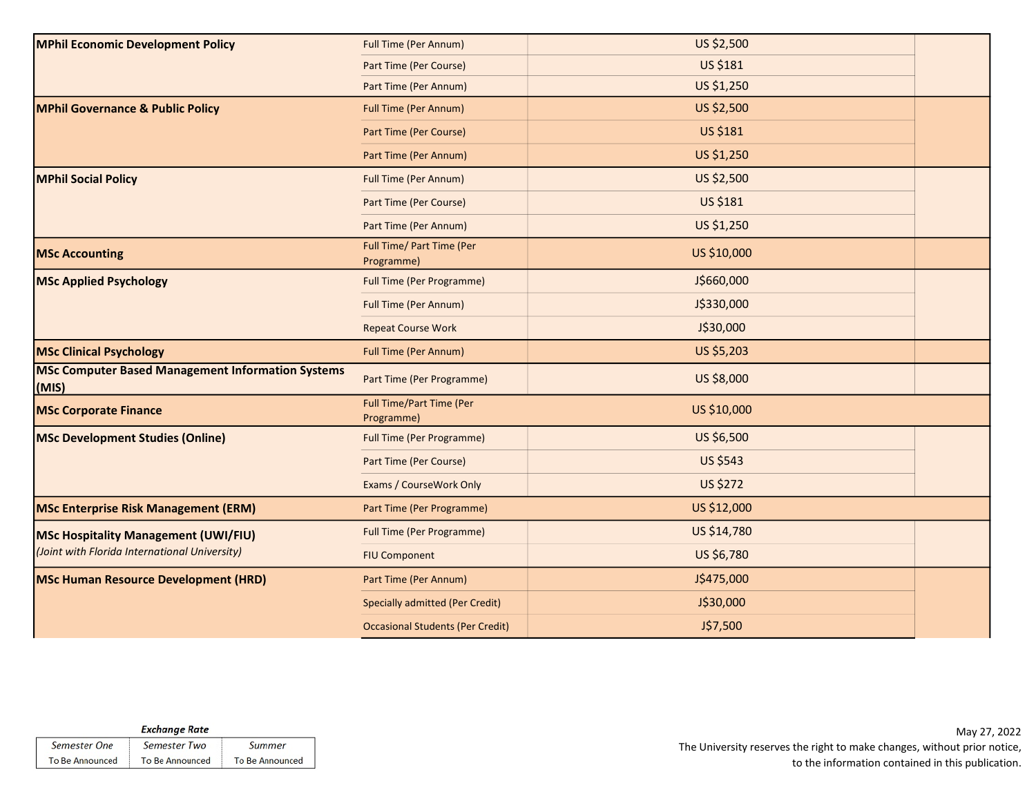| <b>MPhil Economic Development Policy</b>                          | <b>Full Time (Per Annum)</b>            | US \$2,500      |  |
|-------------------------------------------------------------------|-----------------------------------------|-----------------|--|
|                                                                   | Part Time (Per Course)                  | US \$181        |  |
|                                                                   | Part Time (Per Annum)                   | US \$1,250      |  |
| <b>MPhil Governance &amp; Public Policy</b>                       | <b>Full Time (Per Annum)</b>            | US \$2,500      |  |
|                                                                   | Part Time (Per Course)                  | US \$181        |  |
|                                                                   | Part Time (Per Annum)                   | US \$1,250      |  |
| <b>MPhil Social Policy</b>                                        | Full Time (Per Annum)                   | US \$2,500      |  |
|                                                                   | Part Time (Per Course)                  | US \$181        |  |
|                                                                   | Part Time (Per Annum)                   | US \$1,250      |  |
| <b>MSc Accounting</b>                                             | Full Time/ Part Time (Per<br>Programme) | US \$10,000     |  |
| <b>MSc Applied Psychology</b>                                     | <b>Full Time (Per Programme)</b>        | J\$660,000      |  |
|                                                                   | Full Time (Per Annum)                   | J\$330,000      |  |
|                                                                   | <b>Repeat Course Work</b>               | J\$30,000       |  |
| <b>MSc Clinical Psychology</b>                                    | <b>Full Time (Per Annum)</b>            | US \$5,203      |  |
| <b>MSc Computer Based Management Information Systems</b><br>(MIS) | Part Time (Per Programme)               | US \$8,000      |  |
| <b>MSc Corporate Finance</b>                                      | Full Time/Part Time (Per<br>Programme)  | US \$10,000     |  |
| <b>MSc Development Studies (Online)</b>                           | <b>Full Time (Per Programme)</b>        | US \$6,500      |  |
|                                                                   | Part Time (Per Course)                  | <b>US \$543</b> |  |
|                                                                   | Exams / CourseWork Only                 | <b>US \$272</b> |  |
| <b>MSc Enterprise Risk Management (ERM)</b>                       | Part Time (Per Programme)               | US \$12,000     |  |
| <b>MSc Hospitality Management (UWI/FIU)</b>                       | <b>Full Time (Per Programme)</b>        | US \$14,780     |  |
| (Joint with Florida International University)                     | <b>FIU Component</b>                    | US \$6,780      |  |
| <b>MSc Human Resource Development (HRD)</b>                       | Part Time (Per Annum)                   | J\$475,000      |  |
|                                                                   | <b>Specially admitted (Per Credit)</b>  | J\$30,000       |  |
|                                                                   | <b>Occasional Students (Per Credit)</b> | J\$7,500        |  |

|                 | <b>Exchange Rate</b>   |                        |
|-----------------|------------------------|------------------------|
| Semester One    | Semester Two           | Summer                 |
| To Be Announced | <b>To Be Announced</b> | <b>To Be Announced</b> |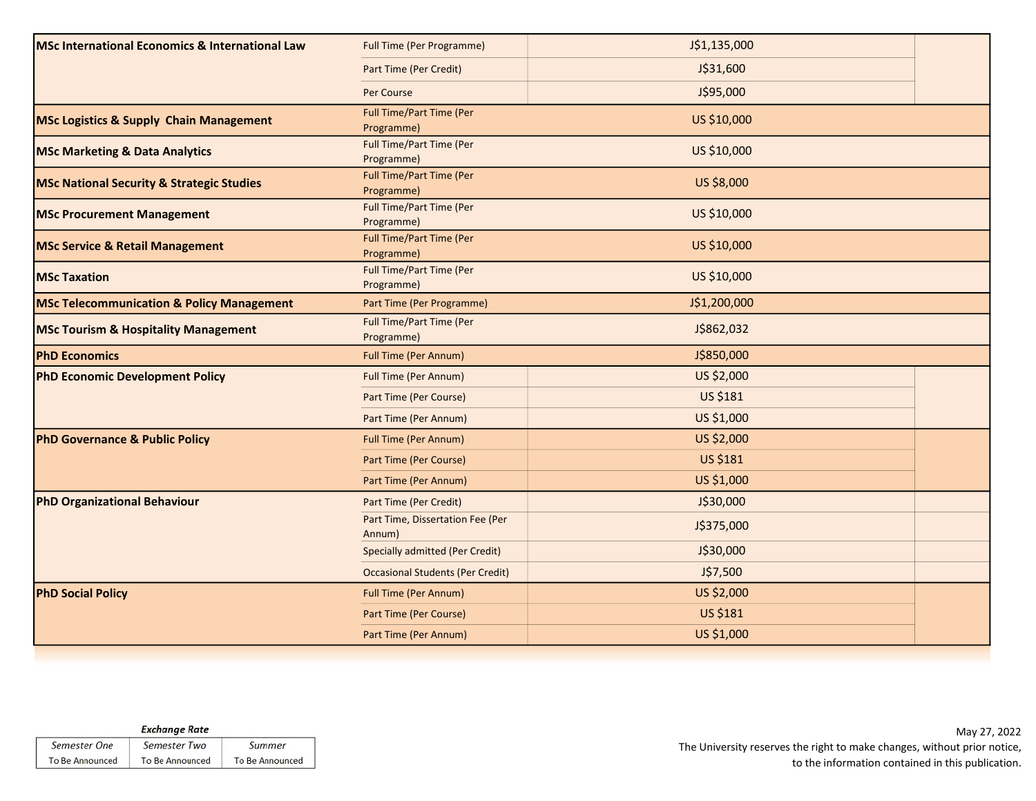| MSc International Economics & International Law      | <b>Full Time (Per Programme)</b>              | J\$1,135,000 |  |
|------------------------------------------------------|-----------------------------------------------|--------------|--|
|                                                      | Part Time (Per Credit)                        | J\$31,600    |  |
|                                                      | Per Course                                    | J\$95,000    |  |
| <b>MSc Logistics &amp; Supply Chain Management</b>   | <b>Full Time/Part Time (Per</b><br>Programme) | US \$10,000  |  |
| <b>MSc Marketing &amp; Data Analytics</b>            | Full Time/Part Time (Per<br>Programme)        | US \$10,000  |  |
| <b>MSc National Security &amp; Strategic Studies</b> | <b>Full Time/Part Time (Per</b><br>Programme) | US \$8,000   |  |
| <b>MSc Procurement Management</b>                    | Full Time/Part Time (Per<br>Programme)        | US \$10,000  |  |
| <b>MSc Service &amp; Retail Management</b>           | <b>Full Time/Part Time (Per</b><br>Programme) | US \$10,000  |  |
| <b>MSc Taxation</b>                                  | Full Time/Part Time (Per<br>Programme)        | US \$10,000  |  |
| <b>MSc Telecommunication &amp; Policy Management</b> | Part Time (Per Programme)                     | J\$1,200,000 |  |
| <b>MSc Tourism &amp; Hospitality Management</b>      | Full Time/Part Time (Per<br>Programme)        | J\$862,032   |  |
| <b>PhD Economics</b>                                 | <b>Full Time (Per Annum)</b>                  | J\$850,000   |  |
| <b>PhD Economic Development Policy</b>               | <b>Full Time (Per Annum)</b>                  | US \$2,000   |  |
|                                                      | Part Time (Per Course)                        | US \$181     |  |
|                                                      | Part Time (Per Annum)                         | US \$1,000   |  |
| <b>PhD Governance &amp; Public Policy</b>            | <b>Full Time (Per Annum)</b>                  | US \$2,000   |  |
|                                                      | Part Time (Per Course)                        | US \$181     |  |
|                                                      | Part Time (Per Annum)                         | US \$1,000   |  |
| <b>PhD Organizational Behaviour</b>                  | Part Time (Per Credit)                        | J\$30,000    |  |
|                                                      | Part Time, Dissertation Fee (Per<br>Annum)    | J\$375,000   |  |
|                                                      | <b>Specially admitted (Per Credit)</b>        | J\$30,000    |  |
|                                                      | <b>Occasional Students (Per Credit)</b>       | J\$7,500     |  |
| <b>PhD Social Policy</b>                             | <b>Full Time (Per Annum)</b>                  | US \$2,000   |  |
|                                                      |                                               |              |  |
|                                                      | Part Time (Per Course)                        | US \$181     |  |

| <b>Exchange Rate</b>   |                        |                        |  |
|------------------------|------------------------|------------------------|--|
| Semester One           | Semester Two           | Summer                 |  |
| <b>To Be Announced</b> | <b>To Be Announced</b> | <b>To Be Announced</b> |  |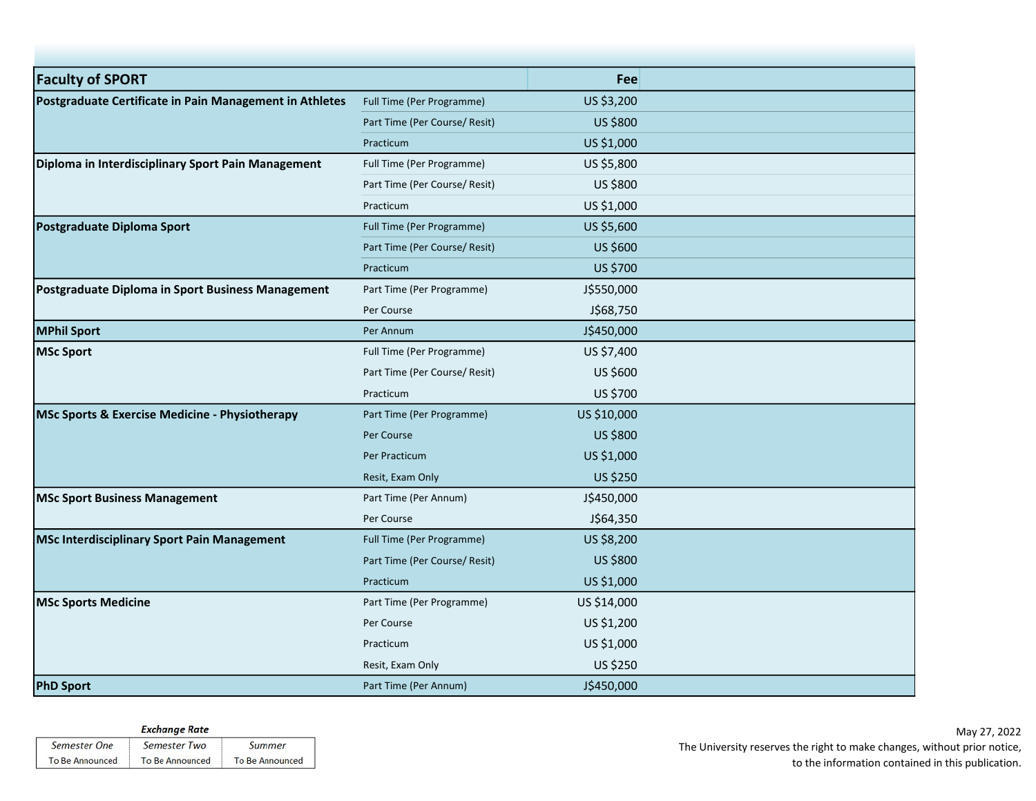| <b>Faculty of SPORT</b>                                   |                               | Fee         |  |
|-----------------------------------------------------------|-------------------------------|-------------|--|
| Postgraduate Certificate in Pain Management in Athletes   | Full Time (Per Programme)     | US \$3,200  |  |
|                                                           | Part Time (Per Course/ Resit) | US \$800    |  |
|                                                           | Practicum                     | US \$1,000  |  |
| Diploma in Interdisciplinary Sport Pain Management        | Full Time (Per Programme)     | US \$5,800  |  |
|                                                           | Part Time (Per Course/ Resit) | US \$800    |  |
|                                                           | Practicum                     | US \$1,000  |  |
| Postgraduate Diploma Sport                                | Full Time (Per Programme)     | US \$5,600  |  |
|                                                           | Part Time (Per Course/ Resit) | US \$600    |  |
|                                                           | Practicum                     | US \$700    |  |
| Postgraduate Diploma in Sport Business Management         | Part Time (Per Programme)     | J\$550,000  |  |
|                                                           | Per Course                    | J\$68,750   |  |
| <b>MPhil Sport</b>                                        | Per Annum                     | J\$450,000  |  |
| <b>MSc Sport</b>                                          | Full Time (Per Programme)     | US \$7,400  |  |
|                                                           | Part Time (Per Course/ Resit) | US \$600    |  |
|                                                           | Practicum                     | US \$700    |  |
| <b>MSc Sports &amp; Exercise Medicine - Physiotherapy</b> | Part Time (Per Programme)     | US \$10,000 |  |
|                                                           | Per Course                    | US \$800    |  |
|                                                           | Per Practicum                 | US \$1,000  |  |
|                                                           | Resit, Exam Only              | US \$250    |  |
| <b>MSc Sport Business Management</b>                      | Part Time (Per Annum)         | J\$450,000  |  |
|                                                           | Per Course                    | J\$64,350   |  |
| <b>MSc Interdisciplinary Sport Pain Management</b>        | Full Time (Per Programme)     | US \$8,200  |  |
|                                                           | Part Time (Per Course/ Resit) | US \$800    |  |
|                                                           | Practicum                     | US \$1,000  |  |
| <b>MSc Sports Medicine</b>                                | Part Time (Per Programme)     | US \$14,000 |  |
|                                                           | Per Course                    | US \$1,200  |  |
|                                                           | Practicum                     | US \$1,000  |  |
|                                                           | Resit, Exam Only              | US \$250    |  |
| <b>PhD Sport</b>                                          | Part Time (Per Annum)         | J\$450,000  |  |

| <b>Exchange Rate</b>   |                        |                        |  |  |
|------------------------|------------------------|------------------------|--|--|
| Semester One           | Semester Two           | Summer                 |  |  |
| <b>To Be Announced</b> | <b>To Be Announced</b> | <b>To Be Announced</b> |  |  |